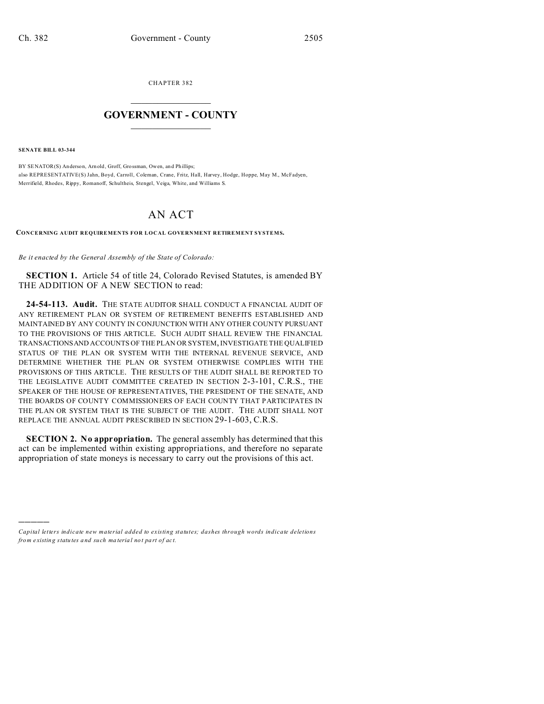CHAPTER 382  $\overline{\phantom{a}}$  , where  $\overline{\phantom{a}}$ 

## **GOVERNMENT - COUNTY**  $\_$

**SENATE BILL 03-344**

)))))

BY SENATOR(S) Anderson, Arn old, Groff, Grossman, Owen, an d Phillips; also REPRESENTATIVE(S) Jahn, Boyd, Carroll, Coleman, Crane, Fritz, Hall, Harvey, Hodge, Hoppe, May M., McFadyen, Merrifield, Rhodes, Rippy, Romanoff, Schultheis, Stengel, Veiga, White, and Williams S.

## AN ACT

**CONCERNING AUDIT REQUIREMENTS FOR LOCAL GOVERNMENT RETIREMENT SYSTEMS.**

*Be it enacted by the General Assembly of the State of Colorado:*

**SECTION 1.** Article 54 of title 24, Colorado Revised Statutes, is amended BY THE ADDITION OF A NEW SECTION to read:

**24-54-113. Audit.** THE STATE AUDITOR SHALL CONDUCT A FINANCIAL AUDIT OF ANY RETIREMENT PLAN OR SYSTEM OF RETIREMENT BENEFITS ESTABLISHED AND MAINTAINED BY ANY COUNTY IN CONJUNCTION WITH ANY OTHER COUNTY PURSUANT TO THE PROVISIONS OF THIS ARTICLE. SUCH AUDIT SHALL REVIEW THE FINANCIAL TRANSACTIONSAND ACCOUNTS OF THE PLAN OR SYSTEM, INVESTIGATE THE QUALIFIED STATUS OF THE PLAN OR SYSTEM WITH THE INTERNAL REVENUE SERVICE, AND DETERMINE WHETHER THE PLAN OR SYSTEM OTHERWISE COMPLIES WITH THE PROVISIONS OF THIS ARTICLE. THE RESULTS OF THE AUDIT SHALL BE REPORTED TO THE LEGISLATIVE AUDIT COMMITTEE CREATED IN SECTION 2-3-101, C.R.S., THE SPEAKER OF THE HOUSE OF REPRESENTATIVES, THE PRESIDENT OF THE SENATE, AND THE BOARDS OF COUNTY COMMISSIONERS OF EACH COUNTY THAT PARTICIPATES IN THE PLAN OR SYSTEM THAT IS THE SUBJECT OF THE AUDIT. THE AUDIT SHALL NOT REPLACE THE ANNUAL AUDIT PRESCRIBED IN SECTION 29-1-603, C.R.S.

**SECTION 2. No appropriation.** The general assembly has determined that this act can be implemented within existing appropriations, and therefore no separate appropriation of state moneys is necessary to carry out the provisions of this act.

*Capital letters indicate new material added to existing statutes; dashes through words indicate deletions from e xistin g statu tes a nd such ma teria l no t pa rt of ac t.*